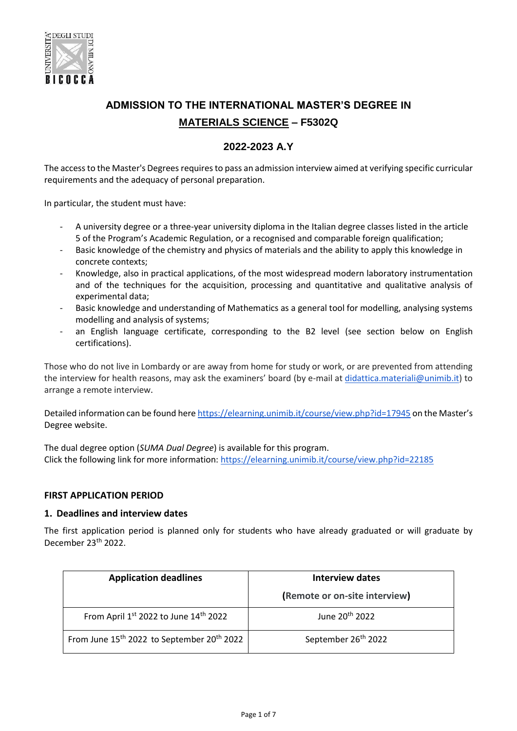

# **ADMISSION TO THE INTERNATIONAL MASTER'S DEGREE IN MATERIALS SCIENCE – F5302Q**

# **2022-2023 A.Y**

The access to the Master's Degrees requires to pass an admission interview aimed at verifying specific curricular requirements and the adequacy of personal preparation.

In particular, the student must have:

- A university degree or a three-year university diploma in the Italian degree classes listed in the article 5 of the Program's Academic Regulation, or a recognised and comparable foreign qualification;
- Basic knowledge of the chemistry and physics of materials and the ability to apply this knowledge in concrete contexts;
- Knowledge, also in practical applications, of the most widespread modern laboratory instrumentation and of the techniques for the acquisition, processing and quantitative and qualitative analysis of experimental data;
- Basic knowledge and understanding of Mathematics as a general tool for modelling, analysing systems modelling and analysis of systems;
- an English language certificate, corresponding to the B2 level (see section below on English certifications).

Those who do not live in Lombardy or are away from home for study or work, or are prevented from attending the interview for health reasons, may ask the examiners' board (by e-mail at [didattica.materiali@unimib.it\)](mailto:didattica.materiali@unimib.it) to arrange a remote interview.

Detailed information can be found her[e https://elearning.unimib.it/course/view.php?id=17945](https://elearning.unimib.it/course/view.php?id=17945) on the Master's Degree website.

The dual degree option (*SUMA Dual Degree*) is available for this program. Click the following link for more information:<https://elearning.unimib.it/course/view.php?id=22185>

#### **FIRST APPLICATION PERIOD**

#### **1. Deadlines and interview dates**

The first application period is planned only for students who have already graduated or will graduate by December 23<sup>th</sup> 2022.

| <b>Application deadlines</b>                                       | Interview dates                 |
|--------------------------------------------------------------------|---------------------------------|
|                                                                    | (Remote or on-site interview)   |
| From April 1st 2022 to June 14th 2022                              | June 20 <sup>th</sup> 2022      |
| From June 15 <sup>th</sup> 2022 to September 20 <sup>th</sup> 2022 | September 26 <sup>th</sup> 2022 |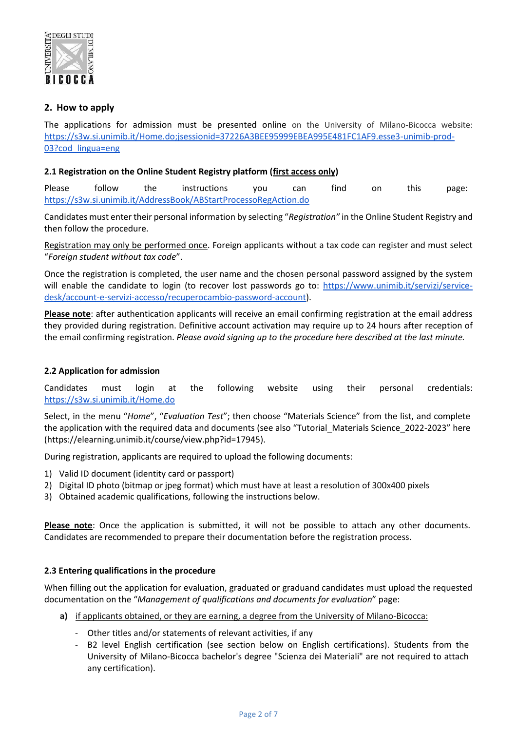

# **2. How to apply**

The applications for admission must be presented online on the University of Milano-Bicocca website: [https://s3w.si.unimib.it/Home.do;jsessionid=37226A3BEE95999EBEA995E481FC1AF9.esse3-unimib-prod-](https://s3w.si.unimib.it/Home.do;jsessionid=37226A3BEE95999EBEA995E481FC1AF9.esse3-unimib-prod-03?cod_lingua=eng)[03?cod\\_lingua=eng](https://s3w.si.unimib.it/Home.do;jsessionid=37226A3BEE95999EBEA995E481FC1AF9.esse3-unimib-prod-03?cod_lingua=eng)

# **2.1 Registration on the Online Student Registry platform (first access only)**

Please follow the instructions you can find on this page: <https://s3w.si.unimib.it/AddressBook/ABStartProcessoRegAction.do>

Candidates must enter their personal information by selecting "*Registration"* in the Online Student Registry and then follow the procedure.

Registration may only be performed once. Foreign applicants without a tax code can register and must select "*Foreign student without tax code*".

Once the registration is completed, the user name and the chosen personal password assigned by the system will enable the candidate to login (to recover lost passwords go to: [https://www.unimib.it/servizi/service](https://www.unimib.it/servizi/service-desk/account-e-servizi-accesso/recuperocambio-password-account)[desk/account-e-servizi-accesso/recuperocambio-password-account\)](https://www.unimib.it/servizi/service-desk/account-e-servizi-accesso/recuperocambio-password-account).

**Please note**: after authentication applicants will receive an email confirming registration at the email address they provided during registration. Definitive account activation may require up to 24 hours after reception of the email confirming registration. *Please avoid signing up to the procedure here described at the last minute.*

#### **2.2 Application for admission**

Candidates must login at the following website using their personal credentials: <https://s3w.si.unimib.it/Home.do>

Select, in the menu "*Home*", "*Evaluation Test*"; then choose "Materials Science" from the list, and complete the application with the required data and documents (see also "Tutorial\_Materials Science\_2022-2023" here (https://elearning.unimib.it/course/view.php?id=17945).

During registration, applicants are required to upload the following documents:

- 1) Valid ID document (identity card or passport)
- 2) Digital ID photo (bitmap or jpeg format) which must have at least a resolution of 300x400 pixels
- 3) Obtained academic qualifications, following the instructions below.

**Please note**: Once the application is submitted, it will not be possible to attach any other documents. Candidates are recommended to prepare their documentation before the registration process.

#### **2.3 Entering qualifications in the procedure**

When filling out the application for evaluation, graduated or graduand candidates must upload the requested documentation on the "*Management of qualifications and documents for evaluation*" page:

- **a)** if applicants obtained, or they are earning, a degree from the University of Milano-Bicocca:
	- Other titles and/or statements of relevant activities, if any
	- B2 level English certification (see section below on English certifications). Students from the University of Milano-Bicocca bachelor's degree "Scienza dei Materiali" are not required to attach any certification).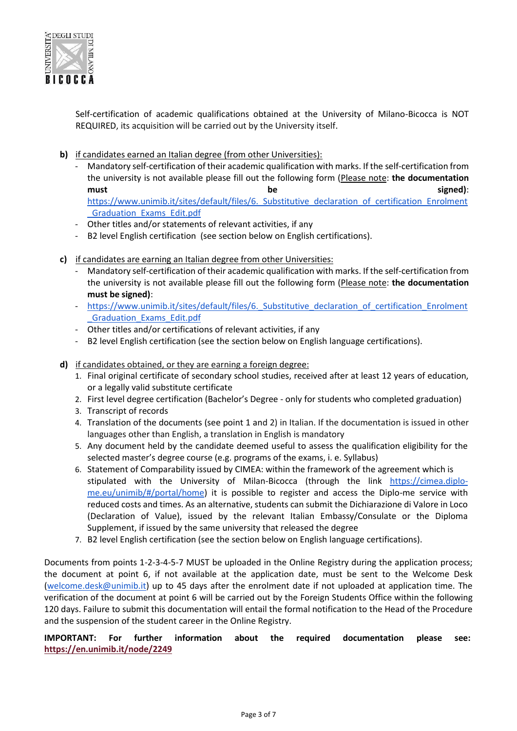

Self-certification of academic qualifications obtained at the University of Milano-Bicocca is NOT REQUIRED, its acquisition will be carried out by the University itself.

- **b)** if candidates earned an Italian degree (from other Universities):
	- Mandatory self-certification of their academic qualification with marks. If the self-certification from the university is not available please fill out the following form (Please note: **the documentation must be signed)**: https://www.unimib.it/sites/default/files/6. Substitutive declaration of certification Enrolment [\\_Graduation\\_Exams\\_Edit.pdf](https://www.unimib.it/sites/default/files/6._Substitutive_declaration_of_certification_Enrolment_Graduation_Exams_Edit.pdf)
	- Other titles and/or statements of relevant activities, if any
	- B2 level English certification (see section below on English certifications).
- **c)** if candidates are earning an Italian degree from other Universities:
	- Mandatory self‐certification of their academic qualification with marks. If the self-certification from the university is not available please fill out the following form (Please note: **the documentation must be signed)**:
	- https://www.unimib.it/sites/default/files/6. Substitutive declaration of certification Enrolment [\\_Graduation\\_Exams\\_Edit.pdf](https://www.unimib.it/sites/default/files/6._Substitutive_declaration_of_certification_Enrolment_Graduation_Exams_Edit.pdf)
	- Other titles and/or certifications of relevant activities, if any
	- B2 level English certification (see the section below on English language certifications).
- **d)** if candidates obtained, or they are earning a foreign degree:
	- 1. Final original certificate of secondary school studies, received after at least 12 years of education, or a legally valid substitute certificate
	- 2. First level degree certification (Bachelor's Degree only for students who completed graduation)
	- 3. Transcript of records
	- 4. Translation of the documents (see point 1 and 2) in Italian. If the documentation is issued in other languages other than English, a translation in English is mandatory
	- 5. Any document held by the candidate deemed useful to assess the qualification eligibility for the selected master's degree course (e.g. programs of the exams, i. e. Syllabus)
	- 6. Statement of Comparability issued by CIMEA: within the framework of the agreement which is stipulated with the University of Milan-Bicocca (through the link [https://cimea.diplo](https://cimea.diplo-me.eu/unimib/#/portal/home)[me.eu/unimib/#/portal/home\)](https://cimea.diplo-me.eu/unimib/#/portal/home) it is possible to register and access the Diplo-me service with reduced costs and times. As an alternative, students can submit the Dichiarazione di Valore in Loco (Declaration of Value), issued by the relevant Italian Embassy/Consulate or the Diploma Supplement, if issued by the same university that released the degree
	- 7. B2 level English certification (see the section below on English language certifications).

Documents from points 1-2-3-4-5-7 MUST be uploaded in the Online Registry during the application process; the document at point 6, if not available at the application date, must be sent to the Welcome Desk [\(welcome.desk@unimib.it\)](mailto:welcome.desk@unimib.it) up to 45 days after the enrolment date if not uploaded at application time. The verification of the document at point 6 will be carried out by the Foreign Students Office within the following 120 days. Failure to submit this documentation will entail the formal notification to the Head of the Procedure and the suspension of the student career in the Online Registry.

**IMPORTANT: For further information about the required documentation please see: <https://en.unimib.it/node/2249>**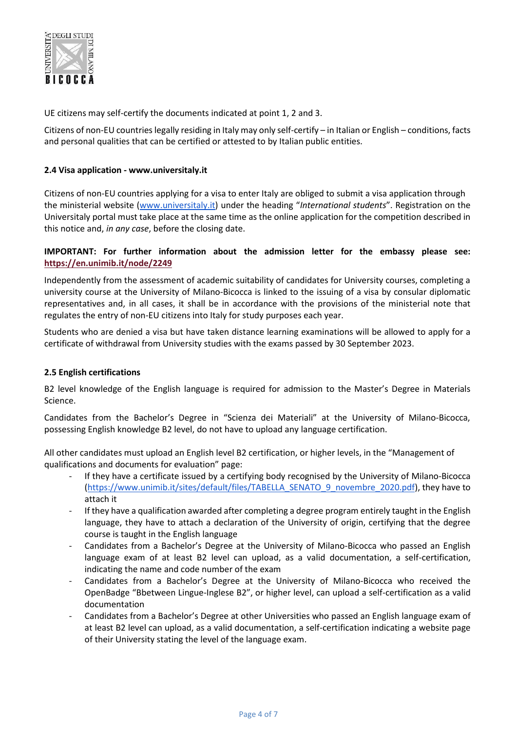

UE citizens may self‐certify the documents indicated at point 1, 2 and 3.

Citizens of non-EU countries legally residing in Italy may only self-certify – in Italian or English – conditions, facts and personal qualities that can be certified or attested to by Italian public entities.

# **2.4 Visa application - www.universitaly.it**

Citizens of non-EU countries applying for a visa to enter Italy are obliged to submit a visa application through the ministerial website [\(www.universitaly.it](http://www.universitaly.it/)) under the heading "*International students*". Registration on the Universitaly portal must take place at the same time as the online application for the competition described in this notice and, *in any case*, before the closing date.

# **IMPORTANT: For further information about the admission letter for the embassy please see: <https://en.unimib.it/node/2249>**

Independently from the assessment of academic suitability of candidates for University courses, completing a university course at the University of Milano-Bicocca is linked to the issuing of a visa by consular diplomatic representatives and, in all cases, it shall be in accordance with the provisions of the ministerial note that regulates the entry of non-EU citizens into Italy for study purposes each year.

Students who are denied a visa but have taken distance learning examinations will be allowed to apply for a certificate of withdrawal from University studies with the exams passed by 30 September 2023.

#### **2.5 English certifications**

B2 level knowledge of the English language is required for admission to the Master's Degree in Materials Science.

Candidates from the Bachelor's Degree in "Scienza dei Materiali" at the University of Milano‐Bicocca, possessing English knowledge B2 level, do not have to upload any language certification.

All other candidates must upload an English level B2 certification, or higher levels, in the "Management of qualifications and documents for evaluation" page:

- If they have a certificate issued by a certifying body recognised by the University of Milano-Bicocca [\(https://www.unimib.it/sites/default/files/TABELLA\\_SENATO\\_9\\_novembre\\_2020.pdf\)](https://www.unimib.it/sites/default/files/TABELLA_SENATO_9_novembre_2020.pdf), they have to attach it
- If they have a qualification awarded after completing a degree program entirely taught in the English language, they have to attach a declaration of the University of origin, certifying that the degree course is taught in the English language
- Candidates from a Bachelor's Degree at the University of Milano‐Bicocca who passed an English language exam of at least B2 level can upload, as a valid documentation, a self-certification, indicating the name and code number of the exam
- Candidates from a Bachelor's Degree at the University of Milano-Bicocca who received the OpenBadge "Bbetween Lingue-Inglese B2", or higher level, can upload a self-certification as a valid documentation
- Candidates from a Bachelor's Degree at other Universities who passed an English language exam of at least B2 level can upload, as a valid documentation, a self-certification indicating a website page of their University stating the level of the language exam.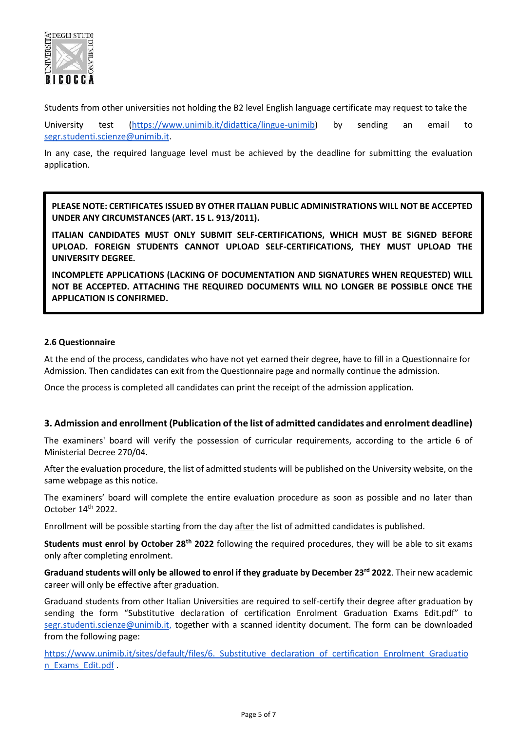

Students from other universities not holding the B2 level English language certificate may request to take the

University test [\(https://www.unimib.it/didattica/lingue-unimib\)](https://www.unimib.it/didattica/lingue-unimib) by sending an email to [segr.studenti.scienze@unimib.it.](mailto:segr.studenti.scienze@unimib.it)

In any case, the required language level must be achieved by the deadline for submitting the evaluation application.

**PLEASE NOTE: CERTIFICATES ISSUED BY OTHER ITALIAN PUBLIC ADMINISTRATIONS WILL NOT BE ACCEPTED UNDER ANY CIRCUMSTANCES (ART. 15 L. 913/2011).**

**ITALIAN CANDIDATES MUST ONLY SUBMIT SELF-CERTIFICATIONS, WHICH MUST BE SIGNED BEFORE UPLOAD. FOREIGN STUDENTS CANNOT UPLOAD SELF-CERTIFICATIONS, THEY MUST UPLOAD THE UNIVERSITY DEGREE.** 

**INCOMPLETE APPLICATIONS (LACKING OF DOCUMENTATION AND SIGNATURES WHEN REQUESTED) WILL NOT BE ACCEPTED. ATTACHING THE REQUIRED DOCUMENTS WILL NO LONGER BE POSSIBLE ONCE THE APPLICATION IS CONFIRMED.** 

# **2.6 Questionnaire**

At the end of the process, candidates who have not yet earned their degree, have to fill in a Questionnaire for Admission. Then candidates can exit from the Questionnaire page and normally continue the admission.

Once the process is completed all candidates can print the receipt of the admission application.

#### **3. Admission and enrollment (Publication of the list of admitted candidates and enrolment deadline)**

The examiners' board will verify the possession of curricular requirements, according to the article 6 of Ministerial Decree 270/04.

After the evaluation procedure, the list of admitted students will be published on the University website, on the same webpage as this notice.

The examiners' board will complete the entire evaluation procedure as soon as possible and no later than October 14th 2022.

Enrollment will be possible starting from the day after the list of admitted candidates is published.

**Students must enrol by October 28th 2022** following the required procedures, they will be able to sit exams only after completing enrolment.

**Graduand students will only be allowed to enrol if they graduate by December 23rd 2022**. Their new academic career will only be effective after graduation.

Graduand students from other Italian Universities are required to self-certify their degree after graduation by sending the form "Substitutive declaration of certification Enrolment Graduation Exams Edit.pdf" to [segr.studenti.scienze@unimib.it,](mailto:segr.studenti.scienze@unimib.it) together with a scanned identity document. The form can be downloaded from the following page:

https://www.unimib.it/sites/default/files/6. Substitutive declaration of certification Enrolment Graduatio [n\\_Exams\\_Edit.pdf](https://www.unimib.it/sites/default/files/6._Substitutive_declaration_of_certification_Enrolment_Graduation_Exams_Edit.pdf) .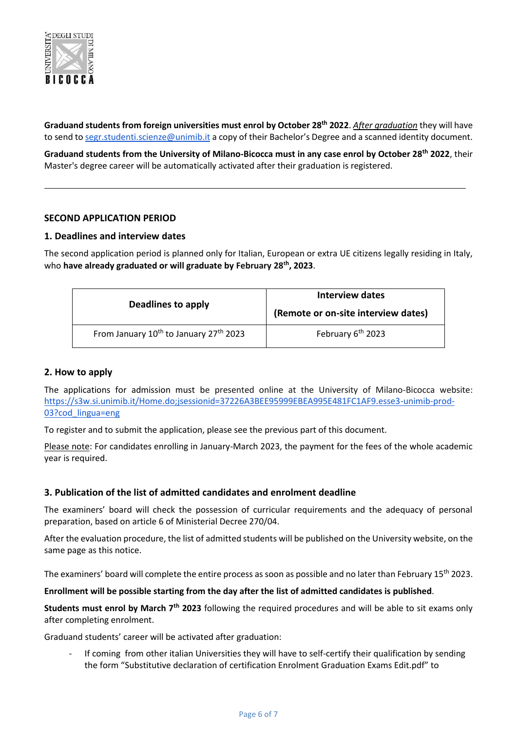

**Graduand students from foreign universities must enrol by October 28th 2022**. *After graduation* they will have to send to [segr.studenti.scienze@unimib.it](mailto:segr.studenti.scienze@unimib.it) a copy of their Bachelor's Degree and a scanned identity document.

**Graduand students from the University of Milano-Bicocca must in any case enrol by October 28th 2022**, their Master's degree career will be automatically activated after their graduation is registered.

# **SECOND APPLICATION PERIOD**

# **1. Deadlines and interview dates**

The second application period is planned only for Italian, European or extra UE citizens legally residing in Italy, who **have already graduated or will graduate by February 28<sup>t</sup><sup>h</sup> , 2023**.

| Deadlines to apply                                             | Interview dates                     |
|----------------------------------------------------------------|-------------------------------------|
|                                                                | (Remote or on-site interview dates) |
| From January 10 <sup>th</sup> to January 27 <sup>th</sup> 2023 | February 6 <sup>th</sup> 2023       |

# **2. How to apply**

The applications for admission must be presented online at the University of Milano-Bicocca website: [https://s3w.si.unimib.it/Home.do;jsessionid=37226A3BEE95999EBEA995E481FC1AF9.esse3-unimib-prod-](https://s3w.si.unimib.it/Home.do;jsessionid=37226A3BEE95999EBEA995E481FC1AF9.esse3-unimib-prod-03?cod_lingua=eng)[03?cod\\_lingua=eng](https://s3w.si.unimib.it/Home.do;jsessionid=37226A3BEE95999EBEA995E481FC1AF9.esse3-unimib-prod-03?cod_lingua=eng)

To register and to submit the application, please see the previous part of this document.

Please note: For candidates enrolling in January-March 2023, the payment for the fees of the whole academic year is required.

#### **3. Publication of the list of admitted candidates and enrolment deadline**

The examiners' board will check the possession of curricular requirements and the adequacy of personal preparation, based on article 6 of Ministerial Decree 270/04.

After the evaluation procedure, the list of admitted students will be published on the University website, on the same page as this notice.

The examiners' board will complete the entire process as soon as possible and no later than February 15<sup>th</sup> 2023.

#### **Enrollment will be possible starting from the day after the list of admitted candidates is published**.

**Students must enrol by March 7th 2023** following the required procedures and will be able to sit exams only after completing enrolment.

Graduand students' career will be activated after graduation:

If coming from other italian Universities they will have to self-certify their qualification by sending the form "Substitutive declaration of certification Enrolment Graduation Exams Edit.pdf" to